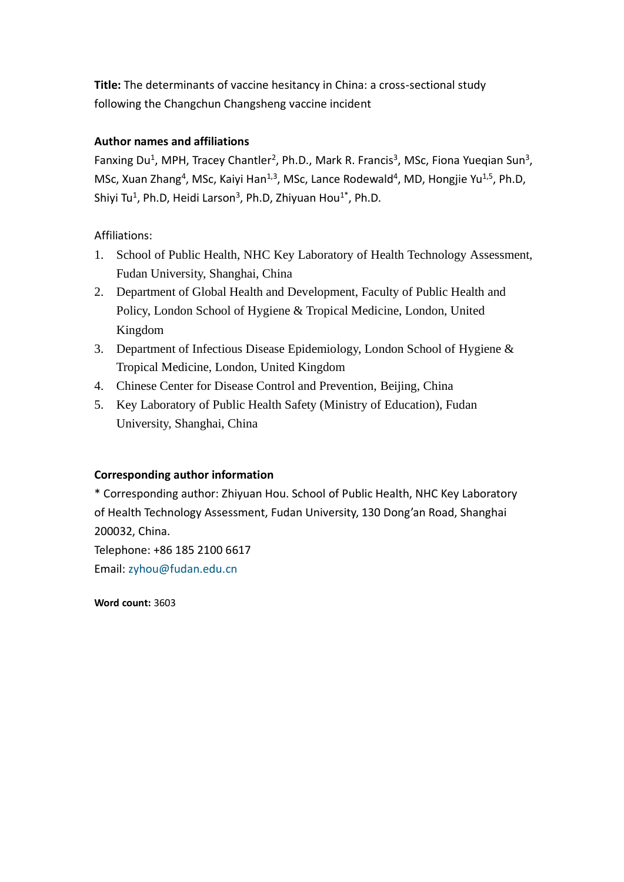**Title:** The determinants of vaccine hesitancy in China: a cross-sectional study following the Changchun Changsheng vaccine incident

# **Author names and affiliations**

Fanxing Du<sup>1</sup>, MPH, Tracey Chantler<sup>2</sup>, Ph.D., Mark R. Francis<sup>3</sup>, MSc, Fiona Yueqian Sun<sup>3</sup>, MSc, Xuan Zhang<sup>4</sup>, MSc, Kaiyi Han<sup>1,3</sup>, MSc, Lance Rodewald<sup>4</sup>, MD, Hongjie Yu<sup>1,5</sup>, Ph.D, Shiyi Tu<sup>1</sup>, Ph.D, Heidi Larson<sup>3</sup>, Ph.D, Zhiyuan Hou<sup>1\*</sup>, Ph.D.

# Affiliations:

- 1. School of Public Health, NHC Key Laboratory of Health Technology Assessment, Fudan University, Shanghai, China
- 2. Department of Global Health and Development, Faculty of Public Health and Policy, London School of Hygiene & Tropical Medicine, London, United Kingdom
- 3. Department of Infectious Disease Epidemiology, London School of Hygiene & Tropical Medicine, London, United Kingdom
- 4. Chinese Center for Disease Control and Prevention, Beijing, China
- 5. Key Laboratory of Public Health Safety (Ministry of Education), Fudan University, Shanghai, China

## **Corresponding author information**

\* Corresponding author: Zhiyuan Hou. School of Public Health, NHC Key Laboratory of Health Technology Assessment, Fudan University, 130 Dong'an Road, Shanghai 200032, China. Telephone: +86 185 2100 6617

Email: [zyhou@fudan.edu.cn](mailto:zyhou@fudan.edu.cn)

**Word count:** 3603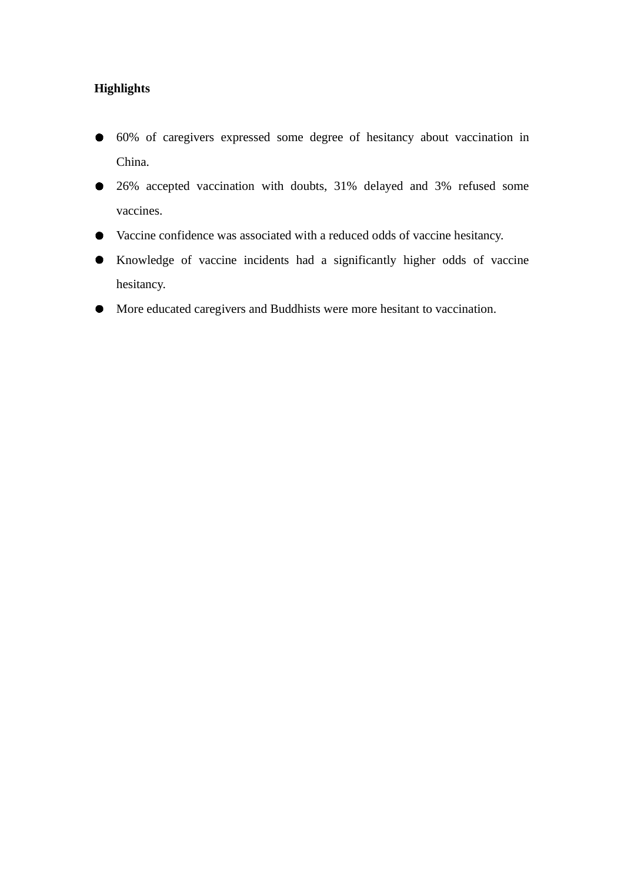# **Highlights**

- 60% of caregivers expressed some degree of hesitancy about vaccination in China.
- 26% accepted vaccination with doubts, 31% delayed and 3% refused some vaccines.
- Vaccine confidence was associated with a reduced odds of vaccine hesitancy.
- Knowledge of vaccine incidents had a significantly higher odds of vaccine hesitancy.
- More educated caregivers and Buddhists were more hesitant to vaccination. $\bullet$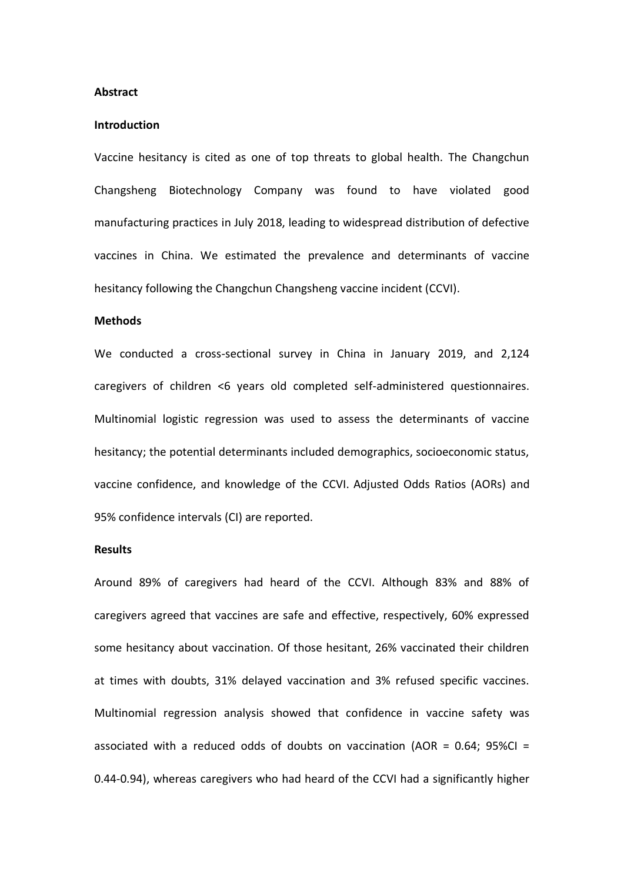### **Abstract**

#### **Introduction**

Vaccine hesitancy is cited as one of top threats to global health. The Changchun Changsheng Biotechnology Company was found to have violated good manufacturing practices in July 2018, leading to widespread distribution of defective vaccines in China. We estimated the prevalence and determinants of vaccine hesitancy following the Changchun Changsheng vaccine incident (CCVI).

### **Methods**

We conducted a cross-sectional survey in China in January 2019, and 2,124 caregivers of children <6 years old completed self-administered questionnaires. Multinomial logistic regression was used to assess the determinants of vaccine hesitancy; the potential determinants included demographics, socioeconomic status, vaccine confidence, and knowledge of the CCVI. Adjusted Odds Ratios (AORs) and 95% confidence intervals (CI) are reported.

#### **Results**

Around 89% of caregivers had heard of the CCVI. Although 83% and 88% of caregivers agreed that vaccines are safe and effective, respectively, 60% expressed some hesitancy about vaccination. Of those hesitant, 26% vaccinated their children at times with doubts, 31% delayed vaccination and 3% refused specific vaccines. Multinomial regression analysis showed that confidence in vaccine safety was associated with a reduced odds of doubts on vaccination (AOR =  $0.64$ ; 95%Cl = 0.44-0.94), whereas caregivers who had heard of the CCVI had a significantly higher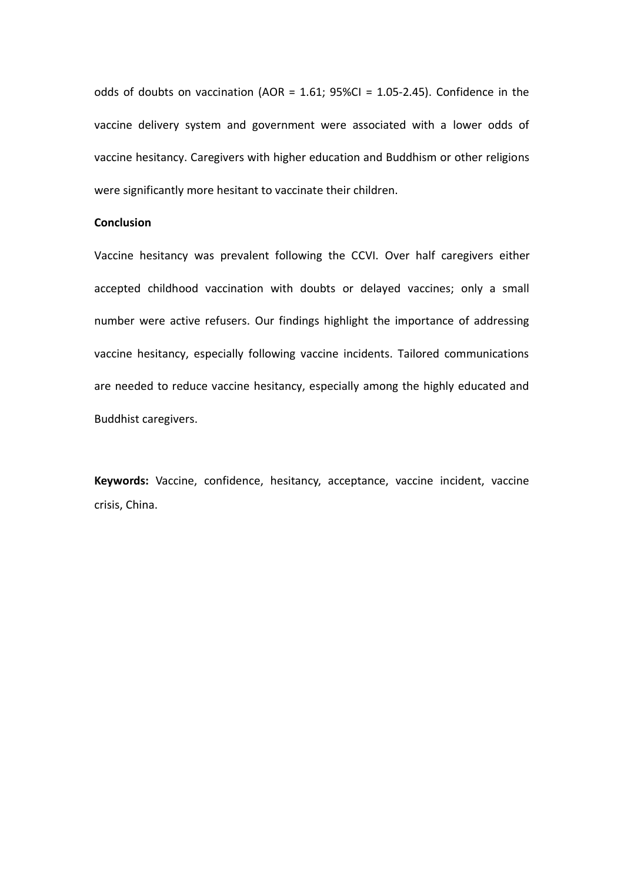odds of doubts on vaccination (AOR =  $1.61$ ; 95%CI =  $1.05$ -2.45). Confidence in the vaccine delivery system and government were associated with a lower odds of vaccine hesitancy. Caregivers with higher education and Buddhism or other religions were significantly more hesitant to vaccinate their children.

### **Conclusion**

Vaccine hesitancy was prevalent following the CCVI. Over half caregivers either accepted childhood vaccination with doubts or delayed vaccines; only a small number were active refusers. Our findings highlight the importance of addressing vaccine hesitancy, especially following vaccine incidents. Tailored communications are needed to reduce vaccine hesitancy, especially among the highly educated and Buddhist caregivers.

**Keywords:** Vaccine, confidence, hesitancy, acceptance, vaccine incident, vaccine crisis, China.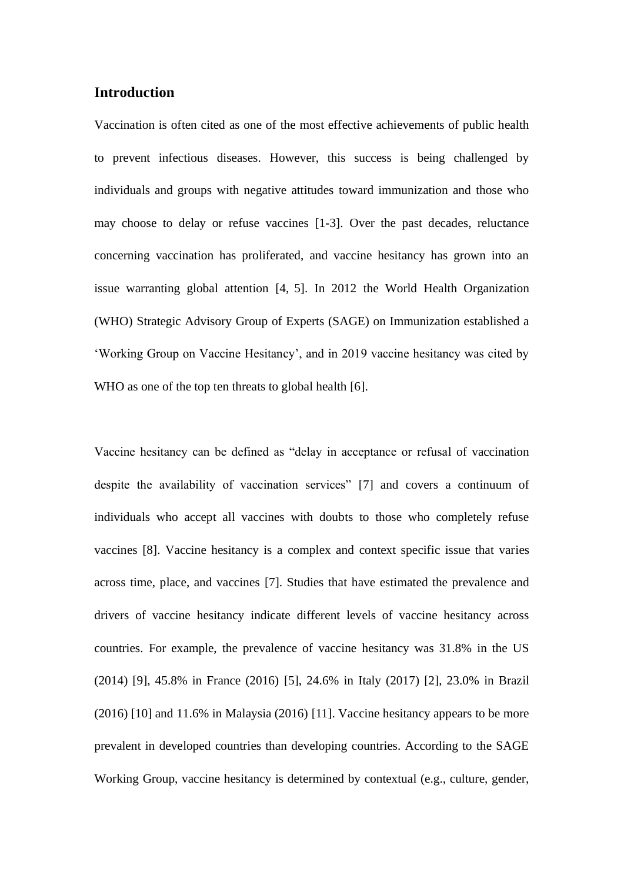# **Introduction**

Vaccination is often cited as one of the most effective achievements of public health to prevent infectious diseases. However, this success is being challenged by individuals and groups with negative attitudes toward immunization and those who may choose to delay or refuse vaccines [1-3]. Over the past decades, reluctance concerning vaccination has proliferated, and vaccine hesitancy has grown into an issue warranting global attention [4, 5]. In 2012 the World Health Organization (WHO) Strategic Advisory Group of Experts (SAGE) on Immunization established a 'Working Group on Vaccine Hesitancy', and in 2019 vaccine hesitancy was cited by WHO as one of the top ten threats to global health [6].

Vaccine hesitancy can be defined as "delay in acceptance or refusal of vaccination despite the availability of vaccination services" [7] and covers a continuum of individuals who accept all vaccines with doubts to those who completely refuse vaccines [8]. Vaccine hesitancy is a complex and context specific issue that varies across time, place, and vaccines [7]. Studies that have estimated the prevalence and drivers of vaccine hesitancy indicate different levels of vaccine hesitancy across countries. For example, the prevalence of vaccine hesitancy was 31.8% in the US (2014) [9], 45.8% in France (2016) [5], 24.6% in Italy (2017) [2], 23.0% in Brazil (2016) [10] and 11.6% in Malaysia (2016) [11]. Vaccine hesitancy appears to be more prevalent in developed countries than developing countries. According to the SAGE Working Group, vaccine hesitancy is determined by contextual (e.g., culture, gender,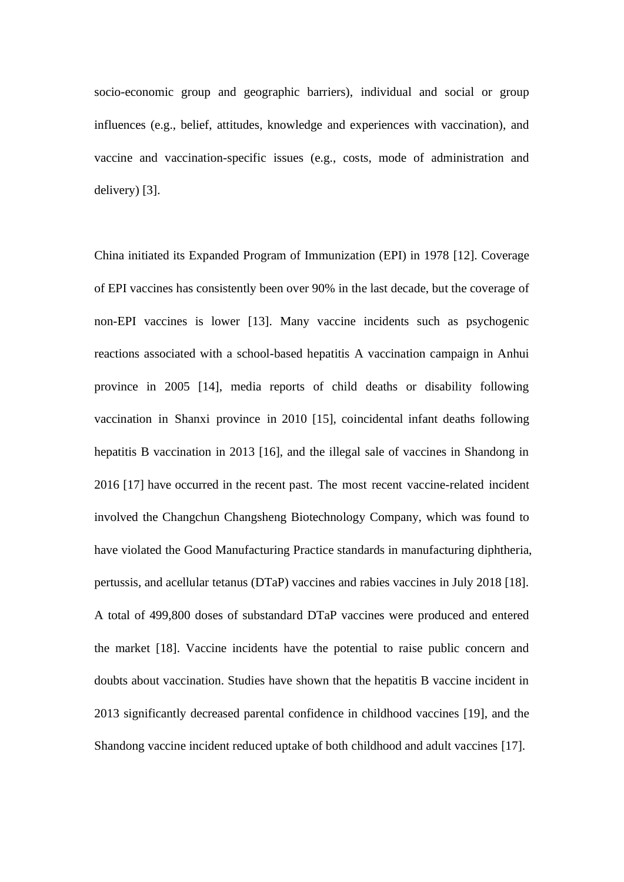socio-economic group and geographic barriers), individual and social or group influences (e.g., belief, attitudes, knowledge and experiences with vaccination), and vaccine and vaccination-specific issues (e.g., costs, mode of administration and delivery) [3].

China initiated its Expanded Program of Immunization (EPI) in 1978 [12]. Coverage of EPI vaccines has consistently been over 90% in the last decade, but the coverage of non-EPI vaccines is lower [13]. Many vaccine incidents such as psychogenic reactions associated with a school-based hepatitis A vaccination campaign in Anhui province in 2005 [14], media reports of child deaths or disability following vaccination in Shanxi province in 2010 [15], coincidental infant deaths following hepatitis B vaccination in 2013 [16], and the illegal sale of vaccines in Shandong in 2016 [17] have occurred in the recent past. The most recent vaccine-related incident involved the Changchun Changsheng Biotechnology Company, which was found to have violated the Good Manufacturing Practice standards in manufacturing diphtheria, pertussis, and acellular tetanus (DTaP) vaccines and rabies vaccines in July 2018 [18]. A total of 499,800 doses of substandard DTaP vaccines were produced and entered the market [18]. Vaccine incidents have the potential to raise public concern and doubts about vaccination. Studies have shown that the hepatitis B vaccine incident in 2013 significantly decreased parental confidence in childhood vaccines [19], and the Shandong vaccine incident reduced uptake of both childhood and adult vaccines [17].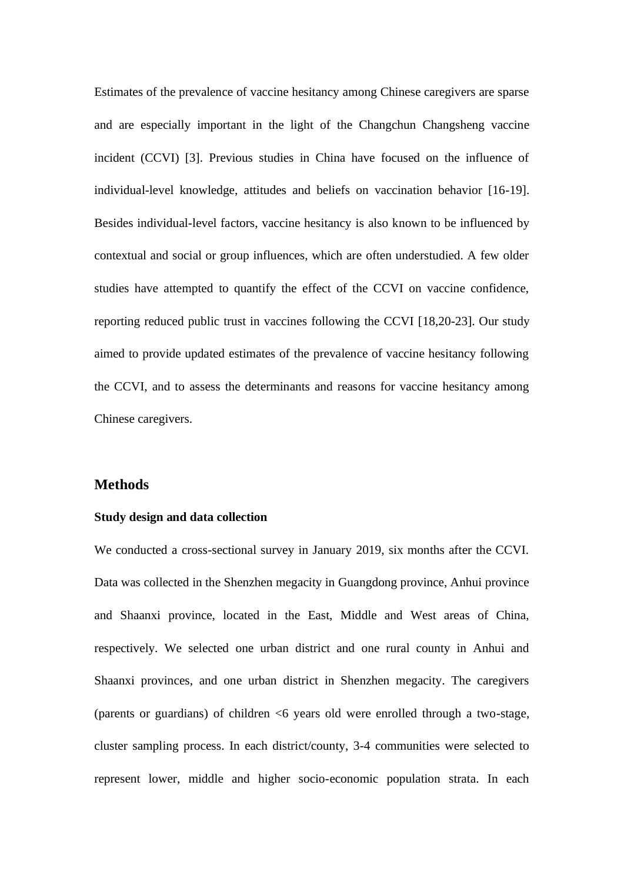Estimates of the prevalence of vaccine hesitancy among Chinese caregivers are sparse and are especially important in the light of the Changchun Changsheng vaccine incident (CCVI) [3]. Previous studies in China have focused on the influence of individual-level knowledge, attitudes and beliefs on vaccination behavior [16-19]. Besides individual-level factors, vaccine hesitancy is also known to be influenced by contextual and social or group influences, which are often understudied. A few older studies have attempted to quantify the effect of the CCVI on vaccine confidence, reporting reduced public trust in vaccines following the CCVI [18,20-23]. Our study aimed to provide updated estimates of the prevalence of vaccine hesitancy following the CCVI, and to assess the determinants and reasons for vaccine hesitancy among Chinese caregivers.

### **Methods**

#### **Study design and data collection**

We conducted a cross-sectional survey in January 2019, six months after the CCVI. Data was collected in the Shenzhen megacity in Guangdong province, Anhui province and Shaanxi province, located in the East, Middle and West areas of China, respectively. We selected one urban district and one rural county in Anhui and Shaanxi provinces, and one urban district in Shenzhen megacity. The caregivers (parents or guardians) of children <6 years old were enrolled through a two-stage, cluster sampling process. In each district/county, 3-4 communities were selected to represent lower, middle and higher socio-economic population strata. In each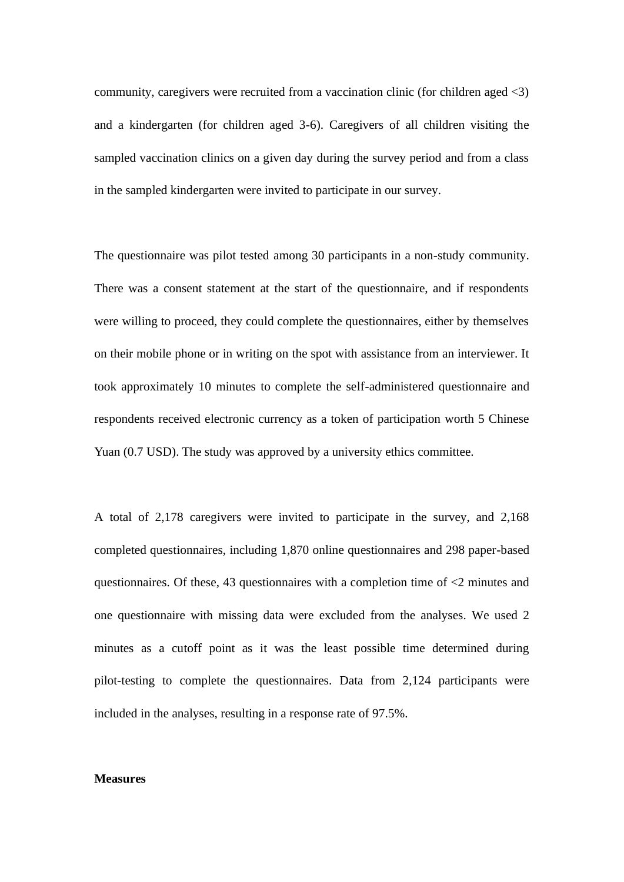community, caregivers were recruited from a vaccination clinic (for children aged <3) and a kindergarten (for children aged 3-6). Caregivers of all children visiting the sampled vaccination clinics on a given day during the survey period and from a class in the sampled kindergarten were invited to participate in our survey.

The questionnaire was pilot tested among 30 participants in a non-study community. There was a consent statement at the start of the questionnaire, and if respondents were willing to proceed, they could complete the questionnaires, either by themselves on their mobile phone or in writing on the spot with assistance from an interviewer. It took approximately 10 minutes to complete the self-administered questionnaire and respondents received electronic currency as a token of participation worth 5 Chinese Yuan (0.7 USD). The study was approved by a university ethics committee.

A total of 2,178 caregivers were invited to participate in the survey, and 2,168 completed questionnaires, including 1,870 online questionnaires and 298 paper-based questionnaires. Of these, 43 questionnaires with a completion time of <2 minutes and one questionnaire with missing data were excluded from the analyses. We used 2 minutes as a cutoff point as it was the least possible time determined during pilot-testing to complete the questionnaires. Data from 2,124 participants were included in the analyses, resulting in a response rate of 97.5%.

### **Measures**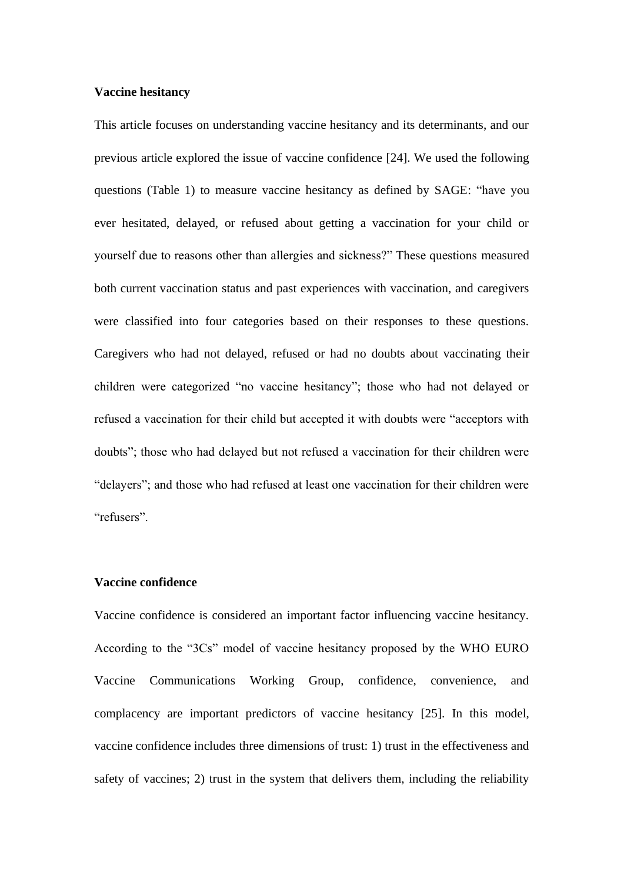### **Vaccine hesitancy**

This article focuses on understanding vaccine hesitancy and its determinants, and our previous article explored the issue of vaccine confidence [24]. We used the following questions (Table 1) to measure vaccine hesitancy as defined by SAGE: "have you ever hesitated, delayed, or refused about getting a vaccination for your child or yourself due to reasons other than allergies and sickness?" These questions measured both current vaccination status and past experiences with vaccination, and caregivers were classified into four categories based on their responses to these questions. Caregivers who had not delayed, refused or had no doubts about vaccinating their children were categorized "no vaccine hesitancy"; those who had not delayed or refused a vaccination for their child but accepted it with doubts were "acceptors with doubts"; those who had delayed but not refused a vaccination for their children were "delayers"; and those who had refused at least one vaccination for their children were "refusers".

### **Vaccine confidence**

Vaccine confidence is considered an important factor influencing vaccine hesitancy. According to the "3Cs" model of vaccine hesitancy proposed by the WHO EURO Vaccine Communications Working Group, confidence, convenience, and complacency are important predictors of vaccine hesitancy [25]. In this model, vaccine confidence includes three dimensions of trust: 1) trust in the effectiveness and safety of vaccines; 2) trust in the system that delivers them, including the reliability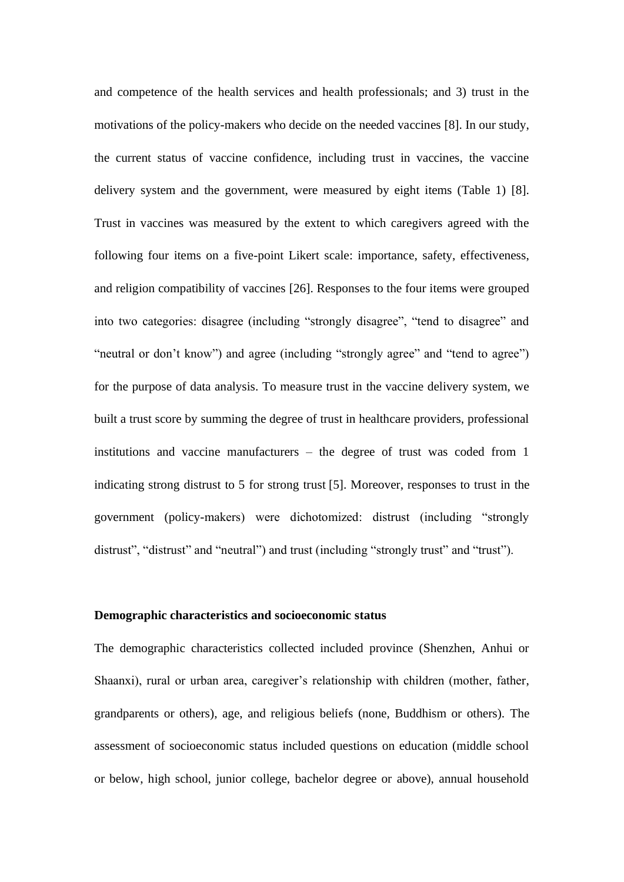and competence of the health services and health professionals; and 3) trust in the motivations of the policy-makers who decide on the needed vaccines [8]. In our study, the current status of vaccine confidence, including trust in vaccines, the vaccine delivery system and the government, were measured by eight items (Table 1) [8]. Trust in vaccines was measured by the extent to which caregivers agreed with the following four items on a five-point Likert scale: importance, safety, effectiveness, and religion compatibility of vaccines [26]. Responses to the four items were grouped into two categories: disagree (including "strongly disagree", "tend to disagree" and "neutral or don't know") and agree (including "strongly agree" and "tend to agree") for the purpose of data analysis. To measure trust in the vaccine delivery system, we built a trust score by summing the degree of trust in healthcare providers, professional institutions and vaccine manufacturers – the degree of trust was coded from 1 indicating strong distrust to 5 for strong trust [5]. Moreover, responses to trust in the government (policy-makers) were dichotomized: distrust (including "strongly distrust", "distrust" and "neutral") and trust (including "strongly trust" and "trust").

### **Demographic characteristics and socioeconomic status**

The demographic characteristics collected included province (Shenzhen, Anhui or Shaanxi), rural or urban area, caregiver's relationship with children (mother, father, grandparents or others), age, and religious beliefs (none, Buddhism or others). The assessment of socioeconomic status included questions on education (middle school or below, high school, junior college, bachelor degree or above), annual household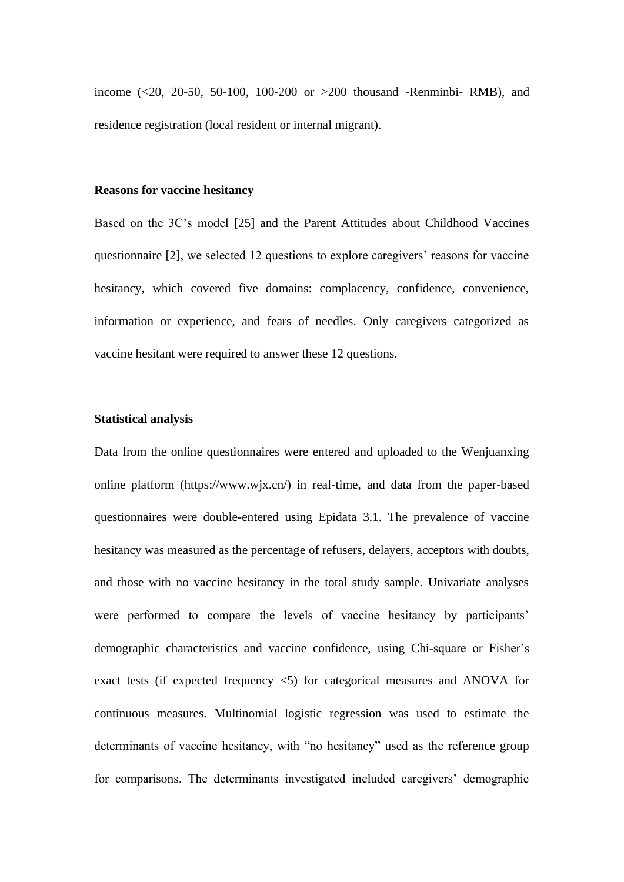income (<20, 20-50, 50-100, 100-200 or >200 thousand -Renminbi- RMB), and residence registration (local resident or internal migrant).

### **Reasons for vaccine hesitancy**

Based on the 3C's model [25] and the Parent Attitudes about Childhood Vaccines questionnaire [2], we selected 12 questions to explore caregivers' reasons for vaccine hesitancy, which covered five domains: complacency, confidence, convenience, information or experience, and fears of needles. Only caregivers categorized as vaccine hesitant were required to answer these 12 questions.

### **Statistical analysis**

Data from the online questionnaires were entered and uploaded to the Wenjuanxing online platform (https://www.wjx.cn/) in real-time, and data from the paper-based questionnaires were double-entered using Epidata 3.1. The prevalence of vaccine hesitancy was measured as the percentage of refusers, delayers, acceptors with doubts, and those with no vaccine hesitancy in the total study sample. Univariate analyses were performed to compare the levels of vaccine hesitancy by participants' demographic characteristics and vaccine confidence, using Chi-square or Fisher's exact tests (if expected frequency <5) for categorical measures and ANOVA for continuous measures. Multinomial logistic regression was used to estimate the determinants of vaccine hesitancy, with "no hesitancy" used as the reference group for comparisons. The determinants investigated included caregivers' demographic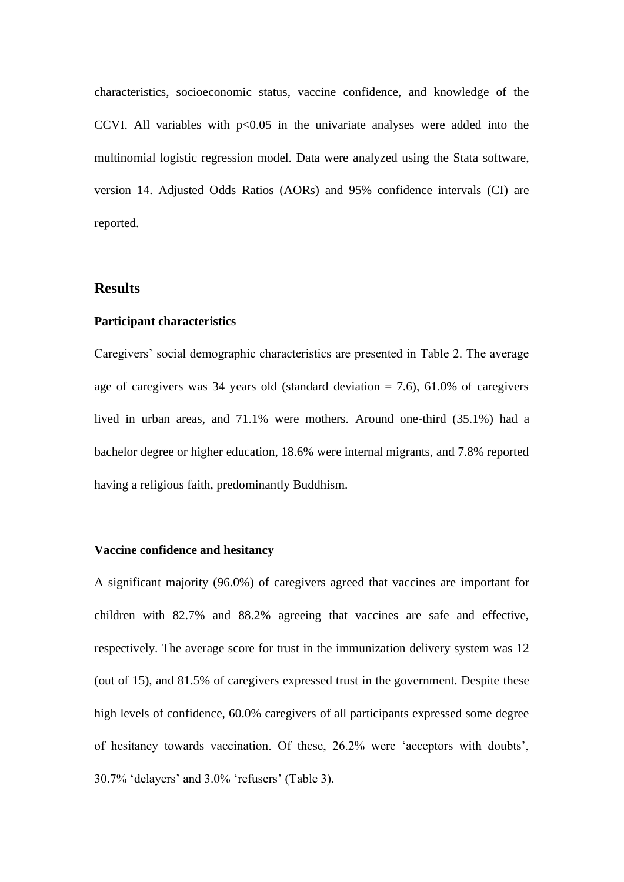characteristics, socioeconomic status, vaccine confidence, and knowledge of the CCVI. All variables with  $p<0.05$  in the univariate analyses were added into the multinomial logistic regression model. Data were analyzed using the Stata software, version 14. Adjusted Odds Ratios (AORs) and 95% confidence intervals (CI) are reported.

### **Results**

#### **Participant characteristics**

Caregivers' social demographic characteristics are presented in Table 2. The average age of caregivers was 34 years old (standard deviation  $= 7.6$ ), 61.0% of caregivers lived in urban areas, and 71.1% were mothers. Around one-third (35.1%) had a bachelor degree or higher education, 18.6% were internal migrants, and 7.8% reported having a religious faith, predominantly Buddhism.

### **Vaccine confidence and hesitancy**

A significant majority (96.0%) of caregivers agreed that vaccines are important for children with 82.7% and 88.2% agreeing that vaccines are safe and effective, respectively. The average score for trust in the immunization delivery system was 12 (out of 15), and 81.5% of caregivers expressed trust in the government. Despite these high levels of confidence, 60.0% caregivers of all participants expressed some degree of hesitancy towards vaccination. Of these, 26.2% were 'acceptors with doubts', 30.7% 'delayers' and 3.0% 'refusers' (Table 3).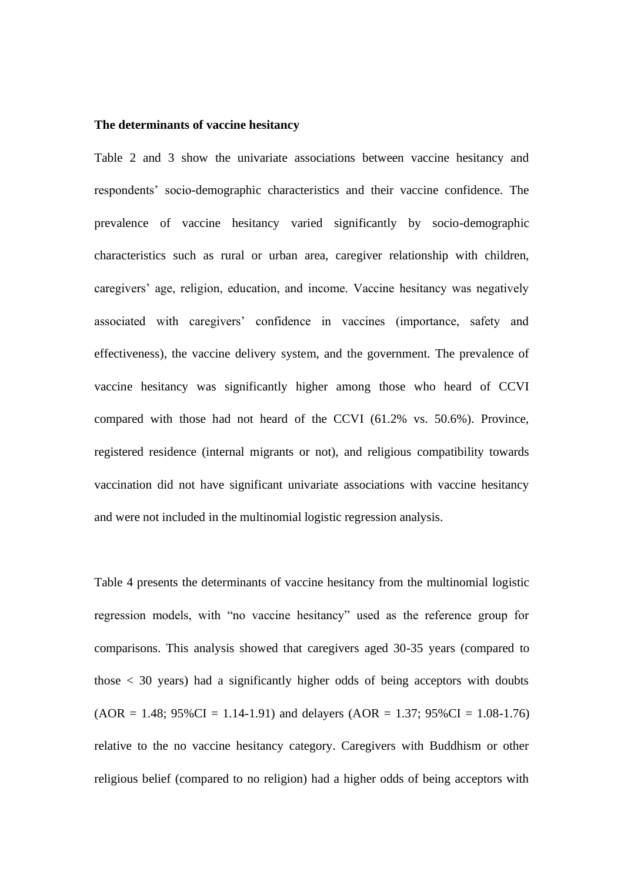### **The determinants of vaccine hesitancy**

Table 2 and 3 show the univariate associations between vaccine hesitancy and respondents' socio-demographic characteristics and their vaccine confidence. The prevalence of vaccine hesitancy varied significantly by socio-demographic characteristics such as rural or urban area, caregiver relationship with children, caregivers' age, religion, education, and income. Vaccine hesitancy was negatively associated with caregivers' confidence in vaccines (importance, safety and effectiveness), the vaccine delivery system, and the government. The prevalence of vaccine hesitancy was significantly higher among those who heard of CCVI compared with those had not heard of the CCVI (61.2% vs. 50.6%). Province, registered residence (internal migrants or not), and religious compatibility towards vaccination did not have significant univariate associations with vaccine hesitancy and were not included in the multinomial logistic regression analysis.

Table 4 presents the determinants of vaccine hesitancy from the multinomial logistic regression models, with "no vaccine hesitancy" used as the reference group for comparisons. This analysis showed that caregivers aged 30-35 years (compared to those  $\langle 30 \rangle$  years) had a significantly higher odds of being acceptors with doubts  $(AOR = 1.48; 95\%CI = 1.14-1.91)$  and delayers  $(AOR = 1.37; 95\%CI = 1.08-1.76)$ relative to the no vaccine hesitancy category. Caregivers with Buddhism or other religious belief (compared to no religion) had a higher odds of being acceptors with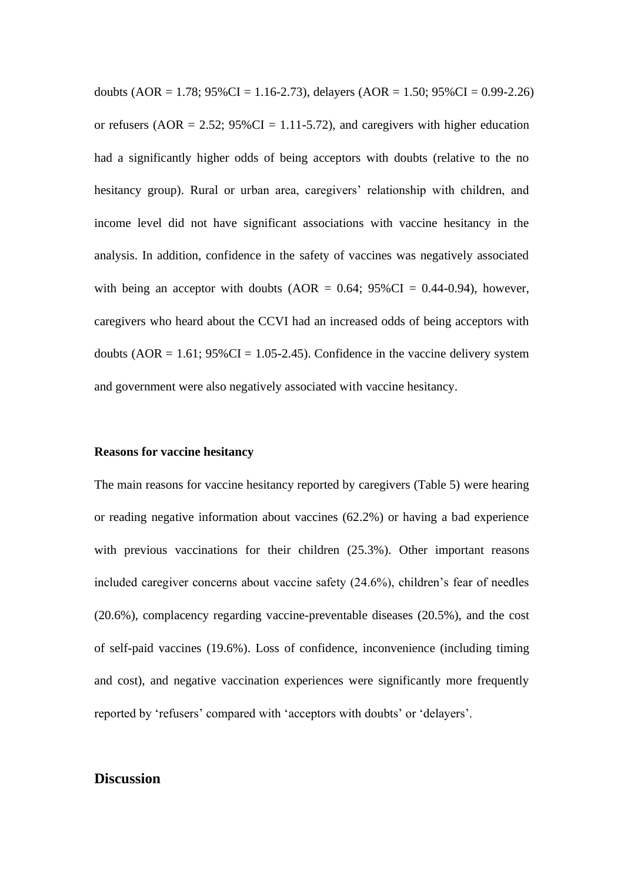doubts (AOR = 1.78;  $95\%CI = 1.16-2.73$ ), delayers (AOR = 1.50;  $95\%CI = 0.99-2.26$ ) or refusers (AOR = 2.52;  $95\%CI = 1.11-5.72$ ), and caregivers with higher education had a significantly higher odds of being acceptors with doubts (relative to the no hesitancy group). Rural or urban area, caregivers' relationship with children, and income level did not have significant associations with vaccine hesitancy in the analysis. In addition, confidence in the safety of vaccines was negatively associated with being an acceptor with doubts (AOR =  $0.64$ ;  $95\%$ CI =  $0.44$ -0.94), however, caregivers who heard about the CCVI had an increased odds of being acceptors with doubts (AOR =  $1.61$ ; 95%CI =  $1.05$ -2.45). Confidence in the vaccine delivery system and government were also negatively associated with vaccine hesitancy.

### **Reasons for vaccine hesitancy**

The main reasons for vaccine hesitancy reported by caregivers (Table 5) were hearing or reading negative information about vaccines (62.2%) or having a bad experience with previous vaccinations for their children (25.3%). Other important reasons included caregiver concerns about vaccine safety (24.6%), children's fear of needles (20.6%), complacency regarding vaccine-preventable diseases (20.5%), and the cost of self-paid vaccines (19.6%). Loss of confidence, inconvenience (including timing and cost), and negative vaccination experiences were significantly more frequently reported by 'refusers' compared with 'acceptors with doubts' or 'delayers'.

### **Discussion**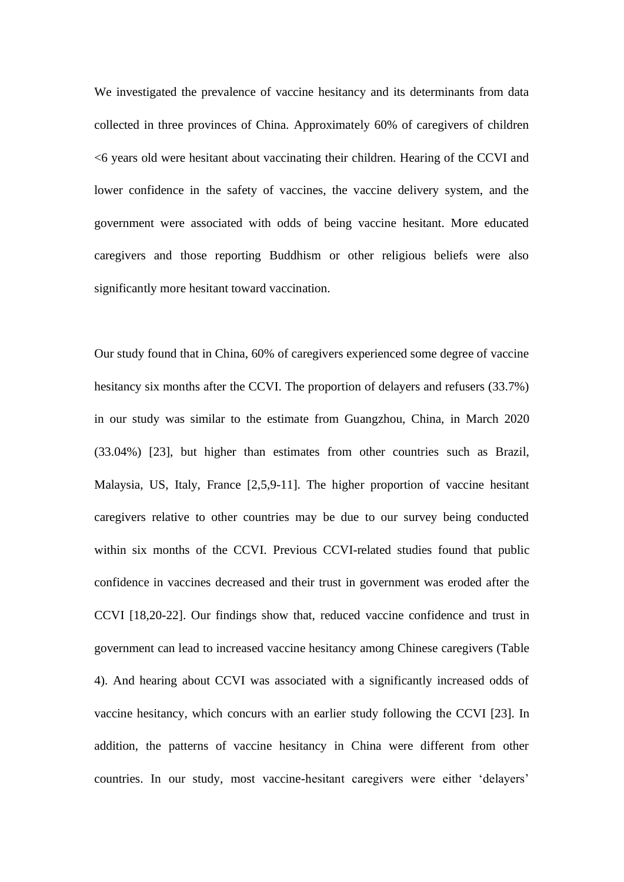We investigated the prevalence of vaccine hesitancy and its determinants from data collected in three provinces of China. Approximately 60% of caregivers of children <6 years old were hesitant about vaccinating their children. Hearing of the CCVI and lower confidence in the safety of vaccines, the vaccine delivery system, and the government were associated with odds of being vaccine hesitant. More educated caregivers and those reporting Buddhism or other religious beliefs were also significantly more hesitant toward vaccination.

Our study found that in China, 60% of caregivers experienced some degree of vaccine hesitancy six months after the CCVI. The proportion of delayers and refusers (33.7%) in our study was similar to the estimate from Guangzhou, China, in March 2020 (33.04%) [23], but higher than estimates from other countries such as Brazil, Malaysia, US, Italy, France [2,5,9-11]. The higher proportion of vaccine hesitant caregivers relative to other countries may be due to our survey being conducted within six months of the CCVI. Previous CCVI-related studies found that public confidence in vaccines decreased and their trust in government was eroded after the CCVI [18,20-22]. Our findings show that, reduced vaccine confidence and trust in government can lead to increased vaccine hesitancy among Chinese caregivers (Table 4). And hearing about CCVI was associated with a significantly increased odds of vaccine hesitancy, which concurs with an earlier study following the CCVI [23]. In addition, the patterns of vaccine hesitancy in China were different from other countries. In our study, most vaccine-hesitant caregivers were either 'delayers'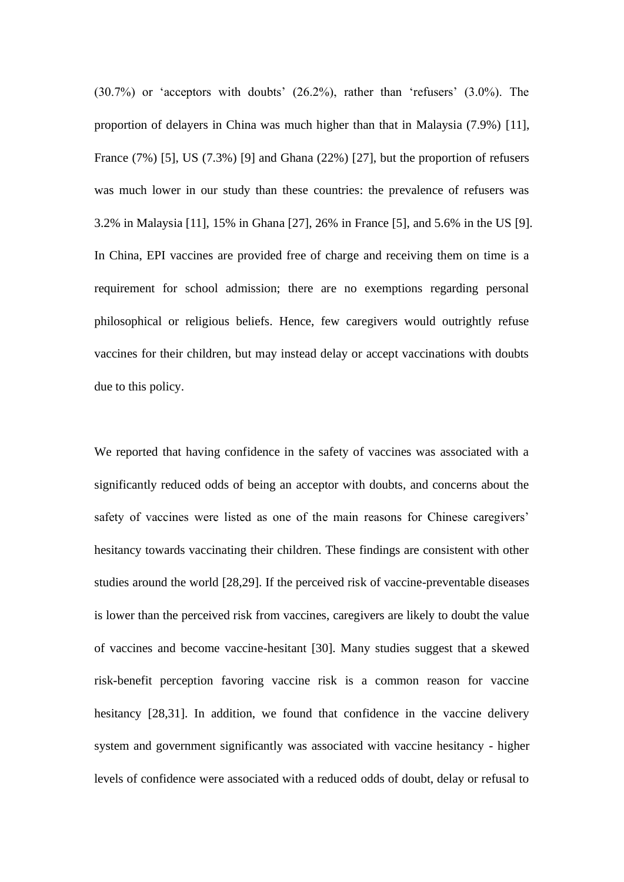(30.7%) or 'acceptors with doubts' (26.2%), rather than 'refusers' (3.0%). The proportion of delayers in China was much higher than that in Malaysia (7.9%) [11], France (7%) [5], US (7.3%) [9] and Ghana (22%) [27], but the proportion of refusers was much lower in our study than these countries: the prevalence of refusers was 3.2% in Malaysia [11], 15% in Ghana [27], 26% in France [5], and 5.6% in the US [9]. In China, EPI vaccines are provided free of charge and receiving them on time is a requirement for school admission; there are no exemptions regarding personal philosophical or religious beliefs. Hence, few caregivers would outrightly refuse vaccines for their children, but may instead delay or accept vaccinations with doubts due to this policy.

We reported that having confidence in the safety of vaccines was associated with a significantly reduced odds of being an acceptor with doubts, and concerns about the safety of vaccines were listed as one of the main reasons for Chinese caregivers' hesitancy towards vaccinating their children. These findings are consistent with other studies around the world [28,29]. If the perceived risk of vaccine-preventable diseases is lower than the perceived risk from vaccines, caregivers are likely to doubt the value of vaccines and become vaccine-hesitant [30]. Many studies suggest that a skewed risk-benefit perception favoring vaccine risk is a common reason for vaccine hesitancy [28,31]. In addition, we found that confidence in the vaccine delivery system and government significantly was associated with vaccine hesitancy - higher levels of confidence were associated with a reduced odds of doubt, delay or refusal to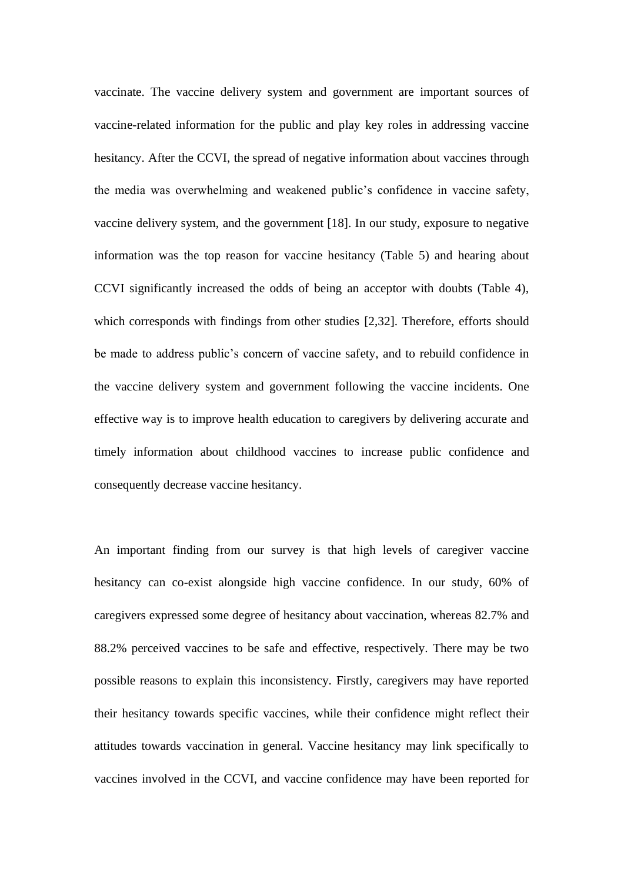vaccinate. The vaccine delivery system and government are important sources of vaccine-related information for the public and play key roles in addressing vaccine hesitancy. After the CCVI, the spread of negative information about vaccines through the media was overwhelming and weakened public's confidence in vaccine safety, vaccine delivery system, and the government [18]. In our study, exposure to negative information was the top reason for vaccine hesitancy (Table 5) and hearing about CCVI significantly increased the odds of being an acceptor with doubts (Table 4), which corresponds with findings from other studies [2,32]. Therefore, efforts should be made to address public's concern of vaccine safety, and to rebuild confidence in the vaccine delivery system and government following the vaccine incidents. One effective way is to improve health education to caregivers by delivering accurate and timely information about childhood vaccines to increase public confidence and consequently decrease vaccine hesitancy.

An important finding from our survey is that high levels of caregiver vaccine hesitancy can co-exist alongside high vaccine confidence. In our study, 60% of caregivers expressed some degree of hesitancy about vaccination, whereas 82.7% and 88.2% perceived vaccines to be safe and effective, respectively. There may be two possible reasons to explain this inconsistency. Firstly, caregivers may have reported their hesitancy towards specific vaccines, while their confidence might reflect their attitudes towards vaccination in general. Vaccine hesitancy may link specifically to vaccines involved in the CCVI, and vaccine confidence may have been reported for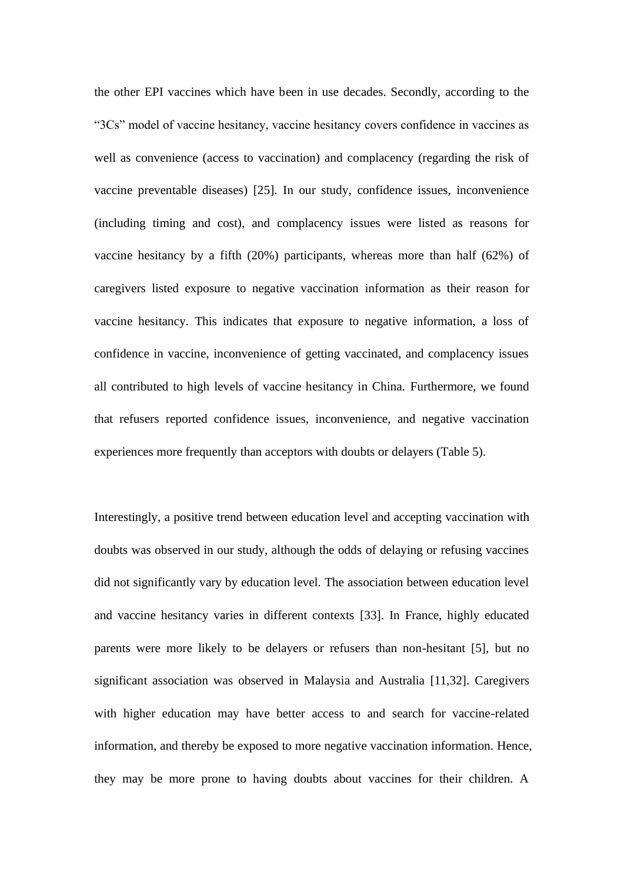the other EPI vaccines which have been in use decades. Secondly, according to the "3Cs" model of vaccine hesitancy, vaccine hesitancy covers confidence in vaccines as well as convenience (access to vaccination) and complacency (regarding the risk of vaccine preventable diseases) [25]. In our study, confidence issues, inconvenience (including timing and cost), and complacency issues were listed as reasons for vaccine hesitancy by a fifth (20%) participants, whereas more than half (62%) of caregivers listed exposure to negative vaccination information as their reason for vaccine hesitancy. This indicates that exposure to negative information, a loss of confidence in vaccine, inconvenience of getting vaccinated, and complacency issues all contributed to high levels of vaccine hesitancy in China. Furthermore, we found that refusers reported confidence issues, inconvenience, and negative vaccination experiences more frequently than acceptors with doubts or delayers (Table 5).

Interestingly, a positive trend between education level and accepting vaccination with doubts was observed in our study, although the odds of delaying or refusing vaccines did not significantly vary by education level. The association between education level and vaccine hesitancy varies in different contexts [33]. In France, highly educated parents were more likely to be delayers or refusers than non-hesitant [5], but no significant association was observed in Malaysia and Australia [11,32]. Caregivers with higher education may have better access to and search for vaccine-related information, and thereby be exposed to more negative vaccination information. Hence, they may be more prone to having doubts about vaccines for their children. A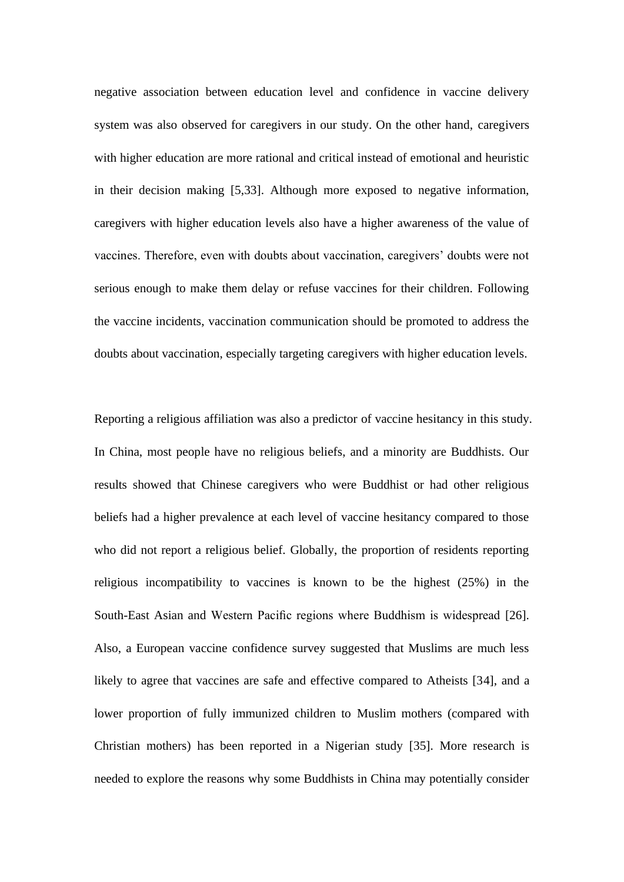negative association between education level and confidence in vaccine delivery system was also observed for caregivers in our study. On the other hand, caregivers with higher education are more rational and critical instead of emotional and heuristic in their decision making [5,33]. Although more exposed to negative information, caregivers with higher education levels also have a higher awareness of the value of vaccines. Therefore, even with doubts about vaccination, caregivers' doubts were not serious enough to make them delay or refuse vaccines for their children. Following the vaccine incidents, vaccination communication should be promoted to address the doubts about vaccination, especially targeting caregivers with higher education levels.

Reporting a religious affiliation was also a predictor of vaccine hesitancy in this study. In China, most people have no religious beliefs, and a minority are Buddhists. Our results showed that Chinese caregivers who were Buddhist or had other religious beliefs had a higher prevalence at each level of vaccine hesitancy compared to those who did not report a religious belief. Globally, the proportion of residents reporting religious incompatibility to vaccines is known to be the highest (25%) in the South-East Asian and Western Pacific regions where Buddhism is widespread [26]. Also, a European vaccine confidence survey suggested that Muslims are much less likely to agree that vaccines are safe and effective compared to Atheists [34], and a lower proportion of fully immunized children to Muslim mothers (compared with Christian mothers) has been reported in a Nigerian study [35]. More research is needed to explore the reasons why some Buddhists in China may potentially consider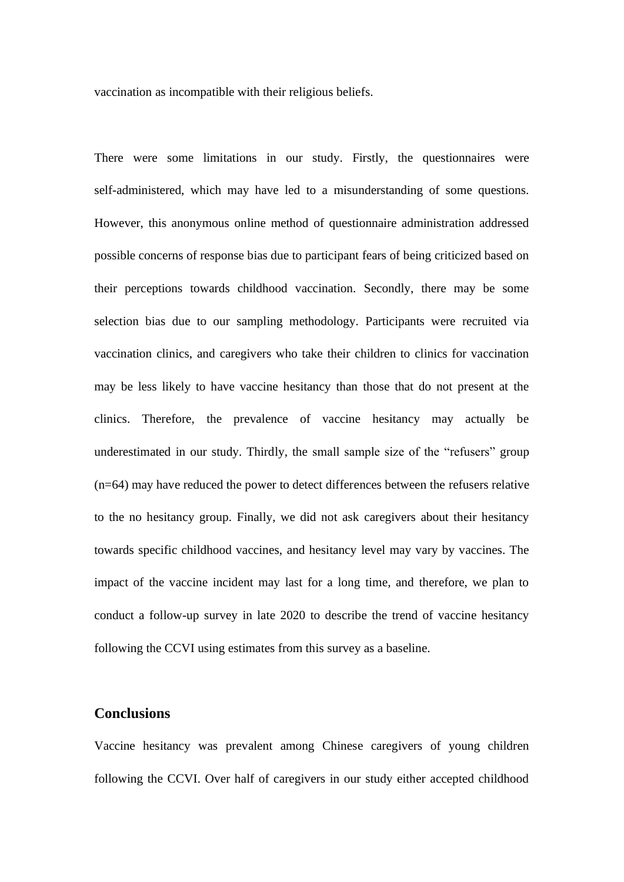vaccination as incompatible with their religious beliefs.

There were some limitations in our study. Firstly, the questionnaires were self-administered, which may have led to a misunderstanding of some questions. However, this anonymous online method of questionnaire administration addressed possible concerns of response bias due to participant fears of being criticized based on their perceptions towards childhood vaccination. Secondly, there may be some selection bias due to our sampling methodology. Participants were recruited via vaccination clinics, and caregivers who take their children to clinics for vaccination may be less likely to have vaccine hesitancy than those that do not present at the clinics. Therefore, the prevalence of vaccine hesitancy may actually be underestimated in our study. Thirdly, the small sample size of the "refusers" group (n=64) may have reduced the power to detect differences between the refusers relative to the no hesitancy group. Finally, we did not ask caregivers about their hesitancy towards specific childhood vaccines, and hesitancy level may vary by vaccines. The impact of the vaccine incident may last for a long time, and therefore, we plan to conduct a follow-up survey in late 2020 to describe the trend of vaccine hesitancy following the CCVI using estimates from this survey as a baseline.

# **Conclusions**

Vaccine hesitancy was prevalent among Chinese caregivers of young children following the CCVI. Over half of caregivers in our study either accepted childhood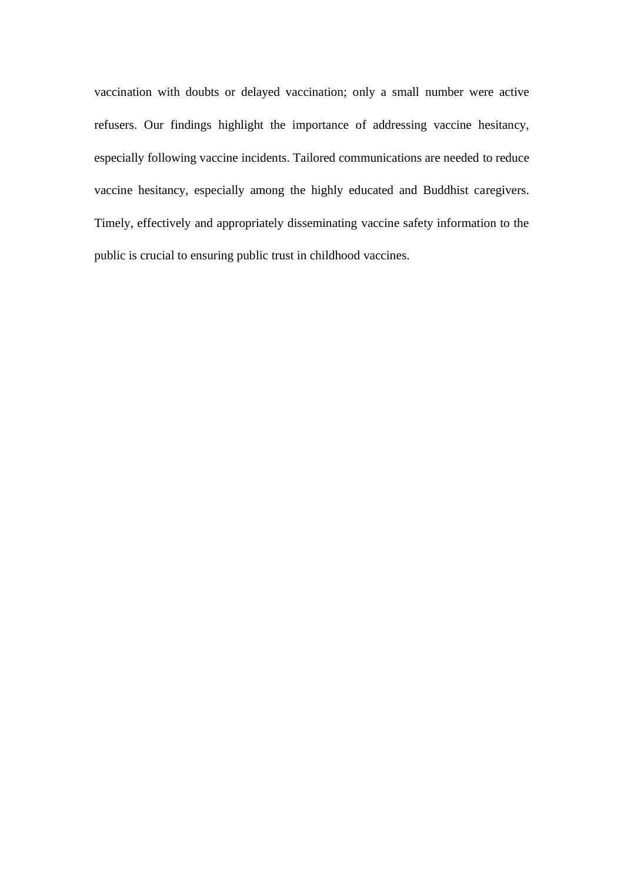vaccination with doubts or delayed vaccination; only a small number were active refusers. Our findings highlight the importance of addressing vaccine hesitancy, especially following vaccine incidents. Tailored communications are needed to reduce vaccine hesitancy, especially among the highly educated and Buddhist caregivers. Timely, effectively and appropriately disseminating vaccine safety information to the public is crucial to ensuring public trust in childhood vaccines.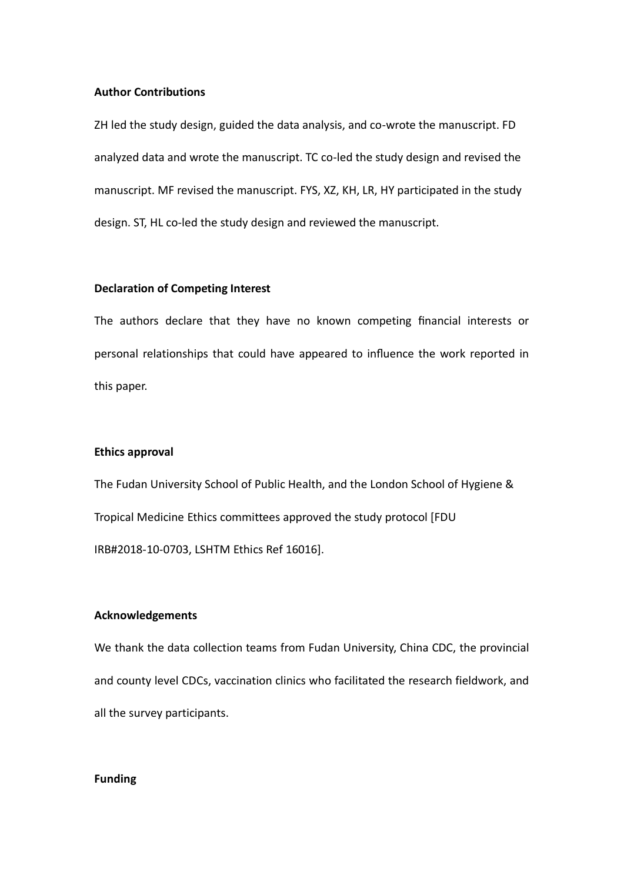### **Author Contributions**

ZH led the study design, guided the data analysis, and co-wrote the manuscript. FD analyzed data and wrote the manuscript. TC co-led the study design and revised the manuscript. MF revised the manuscript. FYS, XZ, KH, LR, HY participated in the study design. ST, HL co-led the study design and reviewed the manuscript.

### **Declaration of Competing Interest**

The authors declare that they have no known competing financial interests or personal relationships that could have appeared to influence the work reported in this paper.

#### **Ethics approval**

The Fudan University School of Public Health, and the London School of Hygiene & Tropical Medicine Ethics committees approved the study protocol [FDU IRB#2018-10-0703, LSHTM Ethics Ref 16016].

### **Acknowledgements**

We thank the data collection teams from Fudan University, China CDC, the provincial and county level CDCs, vaccination clinics who facilitated the research fieldwork, and all the survey participants.

### **Funding**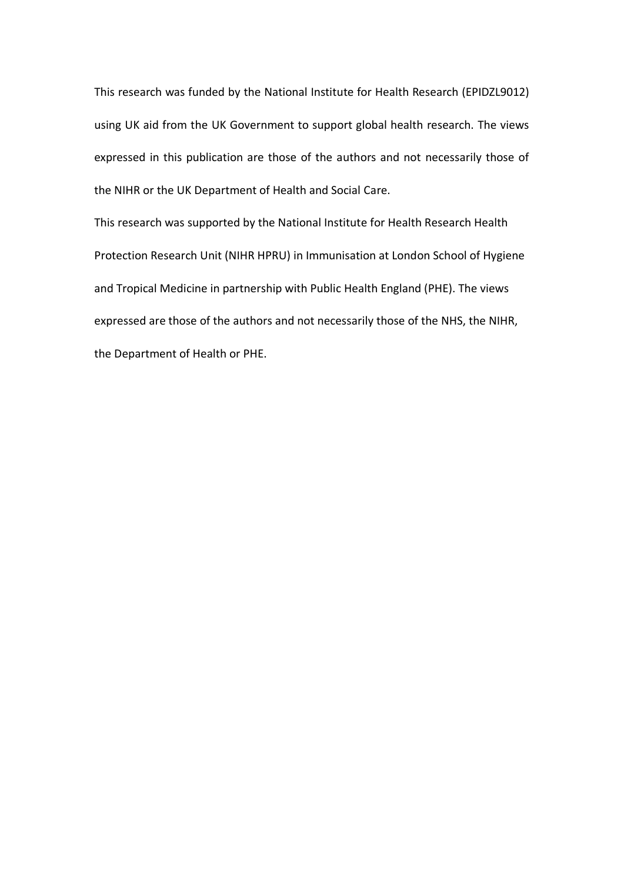This research was funded by the National Institute for Health Research (EPIDZL9012) using UK aid from the UK Government to support global health research. The views expressed in this publication are those of the authors and not necessarily those of the NIHR or the UK Department of Health and Social Care.

This research was supported by the National Institute for Health Research Health Protection Research Unit (NIHR HPRU) in Immunisation at London School of Hygiene and Tropical Medicine in partnership with Public Health England (PHE). The views expressed are those of the authors and not necessarily those of the NHS, the NIHR, the Department of Health or PHE.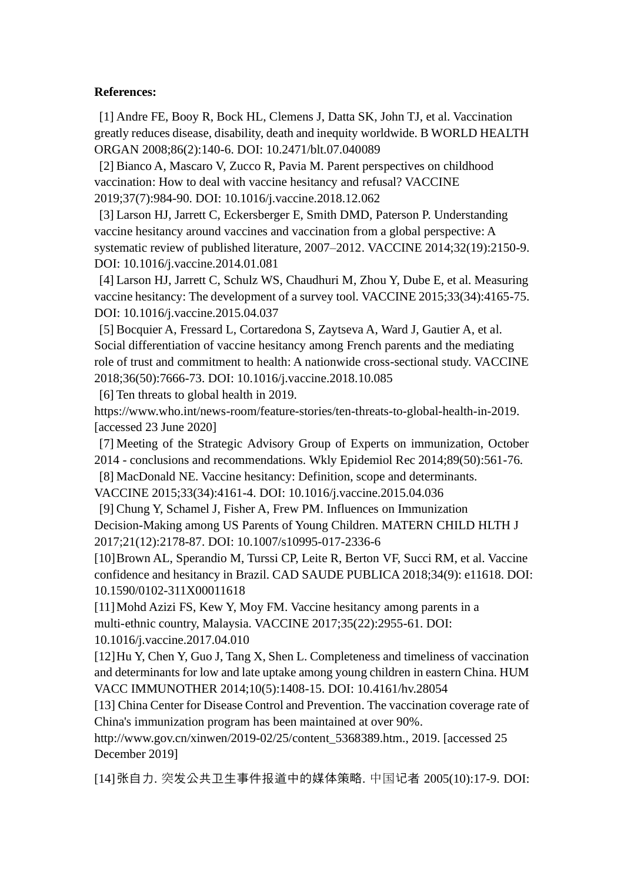### **References:**

[1] Andre FE, Booy R, Bock HL, Clemens J, Datta SK, John TJ, et al. Vaccination greatly reduces disease, disability, death and inequity worldwide. B WORLD HEALTH ORGAN 2008;86(2):140-6. DOI: [10.2471/blt.07.040089](https://doi.org/10.2471/blt.07.040089)

[2] Bianco A, Mascaro V, Zucco R, Pavia M. Parent perspectives on childhood vaccination: How to deal with vaccine hesitancy and refusal? VACCINE 2019;37(7):984-90. DOI: [10.1016/j.vaccine.2018.12.062](https://doi.org/10.1016/j.vaccine.2018.12.062)

[3] Larson HJ, Jarrett C, Eckersberger E, Smith DMD, Paterson P. Understanding vaccine hesitancy around vaccines and vaccination from a global perspective: A systematic review of published literature, 2007–2012. VACCINE 2014;32(19):2150-9. DOI: [10.1016/j.vaccine.2014.01.081](https://doi.org/10.1016/j.vaccine.2014.01.081)

[4] Larson HJ, Jarrett C, Schulz WS, Chaudhuri M, Zhou Y, Dube E, et al. Measuring vaccine hesitancy: The development of a survey tool. VACCINE 2015;33(34):4165-75. DOI: [10.1016/j.vaccine.2015.04.037](https://doi.org/10.1016/j.vaccine.2015.04.037)

[5] Bocquier A, Fressard L, Cortaredona S, Zaytseva A, Ward J, Gautier A, et al. Social differentiation of vaccine hesitancy among French parents and the mediating role of trust and commitment to health: A nationwide cross-sectional study. VACCINE 2018;36(50):7666-73. DOI: [10.1016/j.vaccine.2018.10.085](https://doi.org/10.1016/j.vaccine.2018.10.085)

[6] Ten threats to global health in 2019.

[https://www.who.int/news-room/feature-stories/ten-threats-to-global-health-in-2019.](https://www.who.int/news-room/feature-stories/ten-threats-to-global-health-in-2019) [accessed 23 June 2020]

[7] Meeting of the Strategic Advisory Group of Experts on immunization, October 2014 - conclusions and recommendations. Wkly Epidemiol Rec 2014;89(50):561-76.

[8] MacDonald NE. Vaccine hesitancy: Definition, scope and determinants.

VACCINE 2015;33(34):4161-4. DOI: [10.1016/j.vaccine.2015.04.036](https://doi.org/10.1016/j.vaccine.2015.04.036)

[9] Chung Y, Schamel J, Fisher A, Frew PM. Influences on Immunization Decision-Making among US Parents of Young Children. MATERN CHILD HLTH J 2017;21(12):2178-87. DOI: [10.1007/s10995-017-2336-6](https://doi.org/10.1007/s10995-017-2336-6)

[10]Brown AL, Sperandio M, Turssi CP, Leite R, Berton VF, Succi RM, et al. Vaccine confidence and hesitancy in Brazil. CAD SAUDE PUBLICA 2018;34(9): e11618. DOI: [10.1590/0102-311X00011618](https://doi.org/10.1590/0102-311X00011618)

[11] Mohd Azizi FS, Kew Y, Moy FM. Vaccine hesitancy among parents in a multi-ethnic country, Malaysia. VACCINE 2017;35(22):2955-61. DOI: 10.1016/j.vaccine.2017.04.010

[12]Hu Y, Chen Y, Guo J, Tang X, Shen L. Completeness and timeliness of vaccination and determinants for low and late uptake among young children in eastern China. HUM VACC IMMUNOTHER 2014;10(5):1408-15. DOI: [10.4161/hv.28054](https://doi.org/10.4161/hv.28054)

[13] China Center for Disease Control and Prevention. The vaccination coverage rate of China's immunization program has been maintained at over 90%.

http://www.gov.cn/xinwen/2019-02/25/content\_5368389.htm., 2019. [accessed 25 December 2019]

[14]张自力. 突发公共卫生事件报道中的媒体策略. 中国记者 2005(10):17-9. DOI: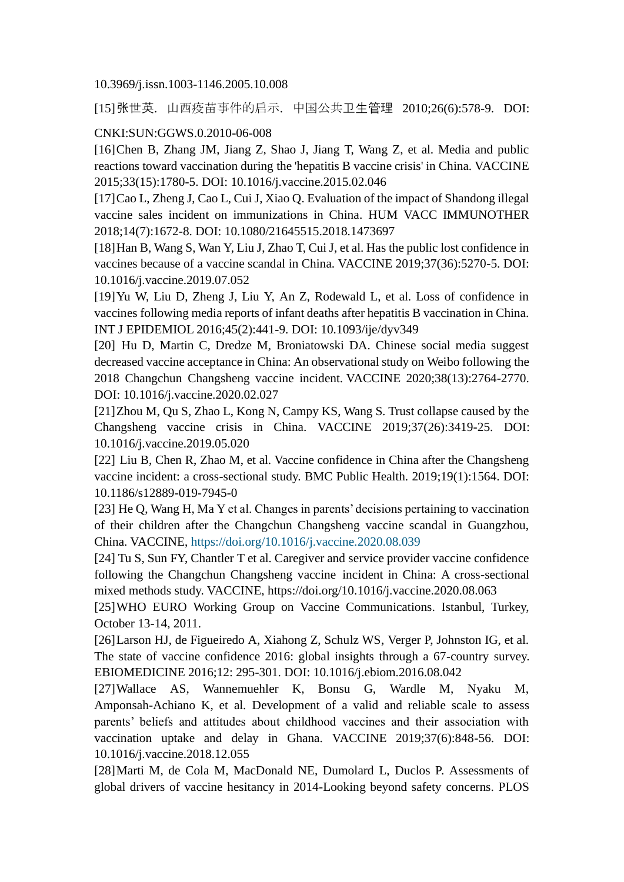10.3969/j.issn.1003-1146.2005.10.008

[15]张世英. 山西疫苗事件的启示. 中国公共卫生管理 2010;26(6):578-9. DOI:

### CNKI:SUN:GGWS.0.2010-06-008

[16]Chen B, Zhang JM, Jiang Z, Shao J, Jiang T, Wang Z, et al. Media and public reactions toward vaccination during the 'hepatitis B vaccine crisis' in China. VACCINE 2015;33(15):1780-5. DOI: [10.1016/j.vaccine.2015.02.046](https://doi.org/10.1016/j.vaccine.2015.02.046)

[17]Cao L, Zheng J, Cao L, Cui J, Xiao Q. Evaluation of the impact of Shandong illegal vaccine sales incident on immunizations in China. HUM VACC IMMUNOTHER 2018;14(7):1672-8. DOI: [10.1080/21645515.2018.1473697](https://doi.org/10.1080/21645515.2018.1473697)

[18]Han B, Wang S, Wan Y, Liu J, Zhao T, Cui J, et al. Has the public lost confidence in vaccines because of a vaccine scandal in China. VACCINE 2019;37(36):5270-5. DOI: [10.1016/j.vaccine.2019.07.052](https://doi.org/10.1016/j.vaccine.2019.07.052)

[19]Yu W, Liu D, Zheng J, Liu Y, An Z, Rodewald L, et al. Loss of confidence in vaccines following media reports of infant deaths after hepatitis B vaccination in China. INT J EPIDEMIOL 2016;45(2):441-9. DOI: [10.1093/ije/dyv349](https://doi.org/10.1093/ije/dyv349)

[20] Hu D, Martin C, Dredze M, Broniatowski DA. Chinese social media suggest decreased vaccine acceptance in China: An observational study on Weibo following the 2018 Changchun Changsheng vaccine incident. VACCINE 2020;38(13):2764-2770. DOI: 10.1016/j.vaccine.2020.02.027

[21]Zhou M, Qu S, Zhao L, Kong N, Campy KS, Wang S. Trust collapse caused by the Changsheng vaccine crisis in China. VACCINE 2019;37(26):3419-25. DOI: [10.1016/j.vaccine.2019.05.020](https://doi.org/10.1016/j.vaccine.2019.05.020)

[22] Liu B, Chen R, Zhao M, et al. Vaccine confidence in China after the Changsheng vaccine incident: a cross-sectional study. BMC Public Health. 2019;19(1):1564. DOI: 10.1186/s12889-019-7945-0

[23] He Q, Wang H, Ma Y et al. Changes in parents' decisions pertaining to vaccination of their children after the Changchun Changsheng vaccine scandal in Guangzhou, China. VACCINE,<https://doi.org/10.1016/j.vaccine.2020.08.039>

[24] Tu S, Sun FY, Chantler T et al. Caregiver and service provider vaccine confidence following the Changchun Changsheng vaccine incident in China: A cross-sectional mixed methods study. VACCINE, https://doi.org/10.1016/j.vaccine.2020.08.063

[25]WHO EURO Working Group on Vaccine Communications. Istanbul, Turkey, October 13-14, 2011.

[26]Larson HJ, de Figueiredo A, Xiahong Z, Schulz WS, Verger P, Johnston IG, et al. The state of vaccine confidence 2016: global insights through a 67-country survey. EBIOMEDICINE 2016;12: 295-301. DOI: [10.1016/j.ebiom.2016.08.042](https://doi.org/10.1016/j.ebiom.2016.08.042)

[27]Wallace AS, Wannemuehler K, Bonsu G, Wardle M, Nyaku M, Amponsah-Achiano K, et al. Development of a valid and reliable scale to assess parents' beliefs and attitudes about childhood vaccines and their association with vaccination uptake and delay in Ghana. VACCINE 2019;37(6):848-56. DOI: [10.1016/j.vaccine.2018.12.055](https://doi.org/10.1016/j.vaccine.2018.12.055)

[28]Marti M, de Cola M, MacDonald NE, Dumolard L, Duclos P. Assessments of global drivers of vaccine hesitancy in 2014-Looking beyond safety concerns. PLOS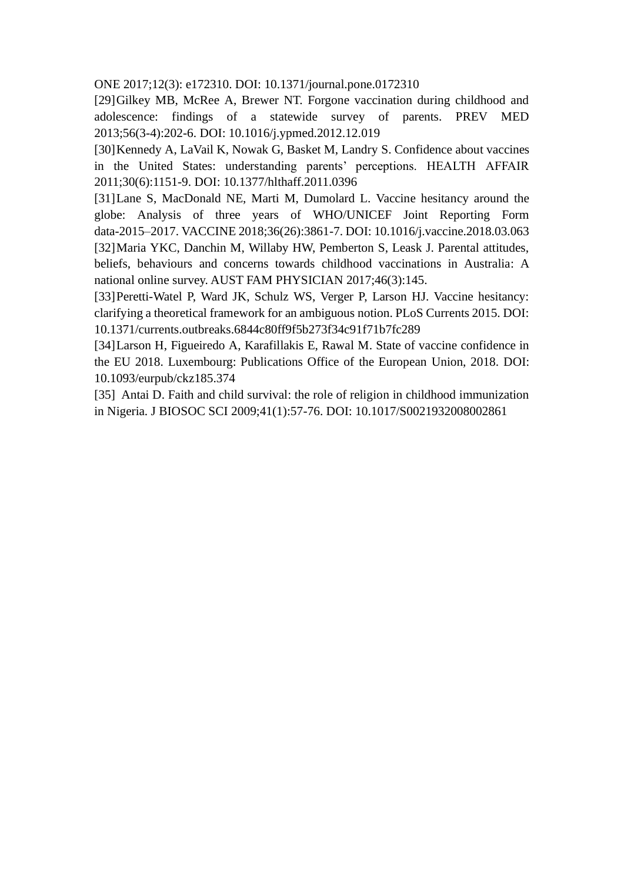ONE 2017;12(3): e172310. DOI: [10.1371/journal.pone.0172310](https://doi.org/10.1371/journal.pone.0172310)

[29]Gilkey MB, McRee A, Brewer NT. Forgone vaccination during childhood and adolescence: findings of a statewide survey of parents. PREV MED 2013;56(3-4):202-6. DOI: [10.1016/j.ypmed.2012.12.019](https://doi.org/10.1016/j.ypmed.2012.12.019)

[30]Kennedy A, LaVail K, Nowak G, Basket M, Landry S. Confidence about vaccines in the United States: understanding parents' perceptions. HEALTH AFFAIR 2011;30(6):1151-9. DOI: [10.1377/hlthaff.2011.0396](https://doi.org/10.1377/hlthaff.2011.0396)

[31]Lane S, MacDonald NE, Marti M, Dumolard L. Vaccine hesitancy around the globe: Analysis of three years of WHO/UNICEF Joint Reporting Form data-2015–2017. VACCINE 2018;36(26):3861-7. DOI: [10.1016/j.vaccine.2018.03.063](https://doi.org/10.1016/j.vaccine.2018.03.063) [32]Maria YKC, Danchin M, Willaby HW, Pemberton S, Leask J. Parental attitudes, beliefs, behaviours and concerns towards childhood vaccinations in Australia: A national online survey. AUST FAM PHYSICIAN 2017;46(3):145.

[33]Peretti-Watel P, Ward JK, Schulz WS, Verger P, Larson HJ. Vaccine hesitancy: clarifying a theoretical framework for an ambiguous notion. PLoS Currents 2015. DOI: [10.1371/currents.outbreaks.6844c80ff9f5b273f34c91f71b7fc289](https://doi.org/10.1371/currents.outbreaks.6844c80ff9f5b273f34c91f71b7fc289)

[34]Larson H, Figueiredo A, Karafillakis E, Rawal M. State of vaccine confidence in the EU 2018. Luxembourg: Publications Office of the European Union, 2018. DOI: 10.1093/eurpub/ckz185.374

[35] Antai D. Faith and child survival: the role of religion in childhood immunization in Nigeria. J BIOSOC SCI 2009;41(1):57-76. DOI: [10.1017/S0021932008002861](https://doi.org/10.1017/S0021932008002861)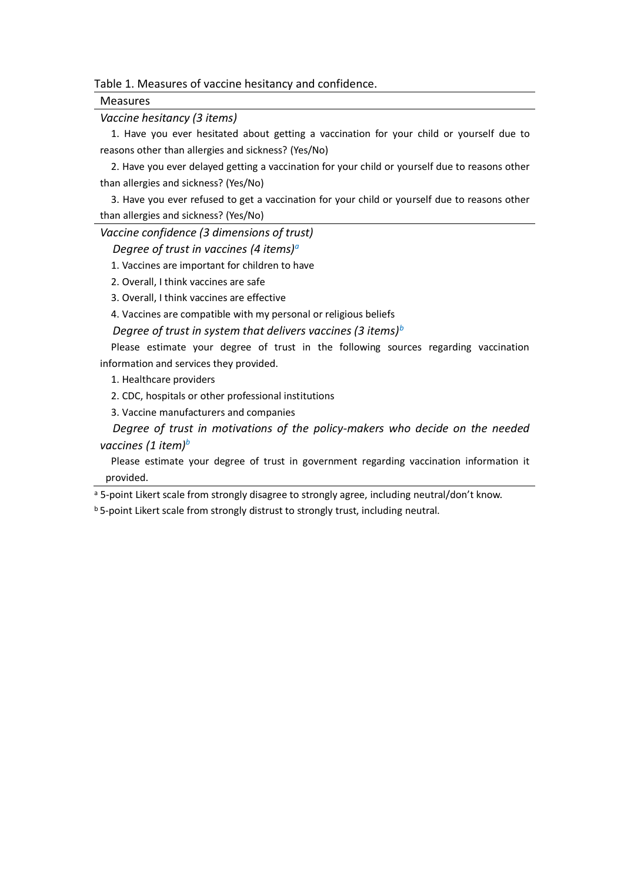Table 1. Measures of vaccine hesitancy and confidence.

Measures

*Vaccine hesitancy (3 items)*

1. Have you ever hesitated about getting a vaccination for your child or yourself due to reasons other than allergies and sickness? (Yes/No)

2. Have you ever delayed getting a vaccination for your child or yourself due to reasons other than allergies and sickness? (Yes/No)

3. Have you ever refused to get a vaccination for your child or yourself due to reasons other than allergies and sickness? (Yes/No)

*Vaccine confidence (3 dimensions of trust)*

*Degree of trust in vaccines (4 items)<sup>a</sup>*

1. Vaccines are important for children to have

2. Overall, I think vaccines are safe

3. Overall, I think vaccines are effective

4. Vaccines are compatible with my personal or religious beliefs

*Degree of trust in system that delivers vaccines (3 items)<sup>b</sup>*

Please estimate your degree of trust in the following sources regarding vaccination information and services they provided.

1. Healthcare providers

2. CDC, hospitals or other professional institutions

3. Vaccine manufacturers and companies

*Degree of trust in motivations of the policy-makers who decide on the needed vaccines (1 item)<sup>b</sup>*

Please estimate your degree of trust in government regarding vaccination information it provided.

a 5-point Likert scale from strongly disagree to strongly agree, including neutral/don't know.

b 5-point Likert scale from strongly distrust to strongly trust, including neutral.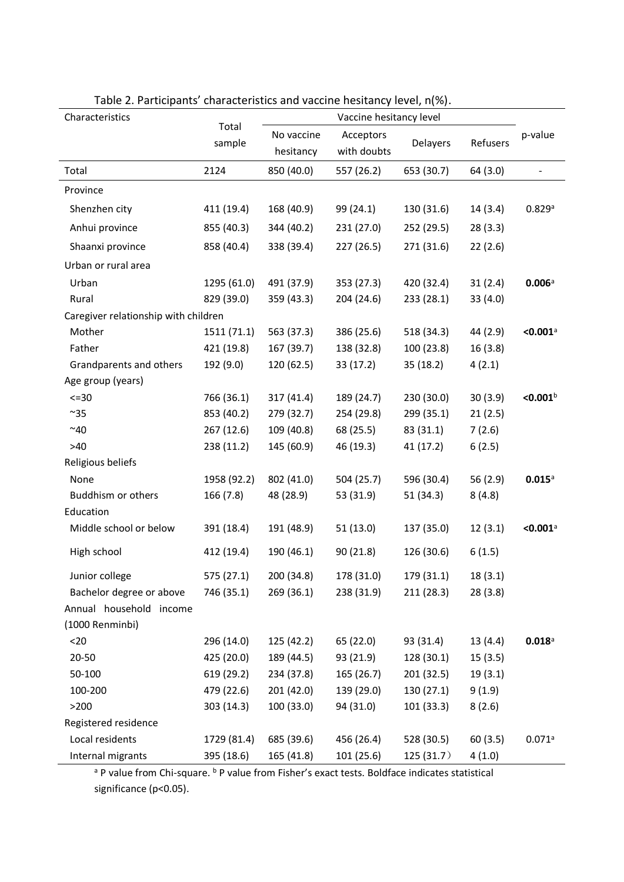| Characteristics                      |                 |                         |                          |            |            |                        |
|--------------------------------------|-----------------|-------------------------|--------------------------|------------|------------|------------------------|
|                                      | Total<br>sample | No vaccine<br>hesitancy | Acceptors<br>with doubts | Delayers   | Refusers   | p-value                |
| Total                                | 2124            | 850 (40.0)              | 557 (26.2)               | 653 (30.7) | 64(3.0)    |                        |
| Province                             |                 |                         |                          |            |            |                        |
| Shenzhen city                        | 411 (19.4)      | 168 (40.9)              | 99 (24.1)                | 130 (31.6) | 14(3.4)    | 0.829a                 |
| Anhui province                       | 855 (40.3)      | 344 (40.2)              | 231 (27.0)               | 252 (29.5) | 28(3.3)    |                        |
| Shaanxi province                     | 858 (40.4)      | 338 (39.4)              | 227 (26.5)               | 271 (31.6) | 22(2.6)    |                        |
| Urban or rural area                  |                 |                         |                          |            |            |                        |
| Urban                                | 1295 (61.0)     | 491 (37.9)              | 353 (27.3)               | 420 (32.4) | 31(2.4)    | 0.006a                 |
| Rural                                | 829 (39.0)      | 359 (43.3)              | 204 (24.6)               | 233(28.1)  | 33(4.0)    |                        |
| Caregiver relationship with children |                 |                         |                          |            |            |                        |
| Mother                               | 1511 (71.1)     | 563 (37.3)              | 386 (25.6)               | 518 (34.3) | 44 (2.9)   | $< 0.001$ <sup>a</sup> |
| Father                               | 421 (19.8)      | 167 (39.7)              | 138 (32.8)               | 100(23.8)  | 16(3.8)    |                        |
| Grandparents and others              | 192 (9.0)       | 120 (62.5)              | 33 (17.2)                | 35 (18.2)  | 4(2.1)     |                        |
| Age group (years)                    |                 |                         |                          |            |            |                        |
| $<=30$                               | 766 (36.1)      | 317(41.4)               | 189 (24.7)               | 230 (30.0) | 30(3.9)    | < 0.001 <sup>b</sup>   |
| $~^{\sim}35$                         | 853 (40.2)      | 279 (32.7)              | 254 (29.8)               | 299 (35.1) | 21(2.5)    |                        |
| ~10                                  | 267 (12.6)      | 109 (40.8)              | 68 (25.5)                | 83 (31.1)  | 7(2.6)     |                        |
| $>40$                                | 238 (11.2)      | 145 (60.9)              | 46 (19.3)                | 41 (17.2)  | 6(2.5)     |                        |
| Religious beliefs                    |                 |                         |                          |            |            |                        |
| None                                 | 1958 (92.2)     | 802 (41.0)              | 504 (25.7)               | 596 (30.4) | 56 $(2.9)$ | 0.015a                 |
| Buddhism or others                   | 166 (7.8)       | 48 (28.9)               | 53 (31.9)                | 51 (34.3)  | 8(4.8)     |                        |
| Education                            |                 |                         |                          |            |            |                        |
| Middle school or below               | 391 (18.4)      | 191 (48.9)              | 51(13.0)                 | 137 (35.0) | 12(3.1)    | $< 0.001$ <sup>a</sup> |
| High school                          | 412 (19.4)      | 190 (46.1)              | 90(21.8)                 | 126 (30.6) | 6(1.5)     |                        |
| Junior college                       | 575 (27.1)      | 200 (34.8)              | 178 (31.0)               | 179 (31.1) | 18(3.1)    |                        |
| Bachelor degree or above             | 746 (35.1)      | 269 (36.1)              | 238 (31.9)               | 211(28.3)  | 28(3.8)    |                        |
| Annual household income              |                 |                         |                          |            |            |                        |
| (1000 Renminbi)                      |                 |                         |                          |            |            |                        |
| $20$                                 | 296 (14.0)      | 125 (42.2)              | 65 (22.0)                | 93 (31.4)  | 13(4.4)    | $0.018$ <sup>a</sup>   |
| 20-50                                | 425 (20.0)      | 189 (44.5)              | 93 (21.9)                | 128 (30.1) | 15(3.5)    |                        |
| 50-100                               | 619 (29.2)      | 234 (37.8)              | 165 (26.7)               | 201 (32.5) | 19(3.1)    |                        |
| 100-200                              | 479 (22.6)      | 201 (42.0)              | 139 (29.0)               | 130 (27.1) | 9(1.9)     |                        |
| >200                                 | 303 (14.3)      | 100(33.0)               | 94 (31.0)                | 101 (33.3) | 8(2.6)     |                        |
| Registered residence                 |                 |                         |                          |            |            |                        |
| Local residents                      | 1729 (81.4)     | 685 (39.6)              | 456 (26.4)               | 528 (30.5) | 60(3.5)    | 0.071a                 |
| Internal migrants                    | 395 (18.6)      | 165 (41.8)              | 101 (25.6)               | 125(31.7)  | 4(1.0)     |                        |

Table 2. Participants' characteristics and vaccine hesitancy level, n(%).

<sup>a</sup> P value from Chi-square. <sup>b</sup> P value from Fisher's exact tests. Boldface indicates statistical significance (p<0.05).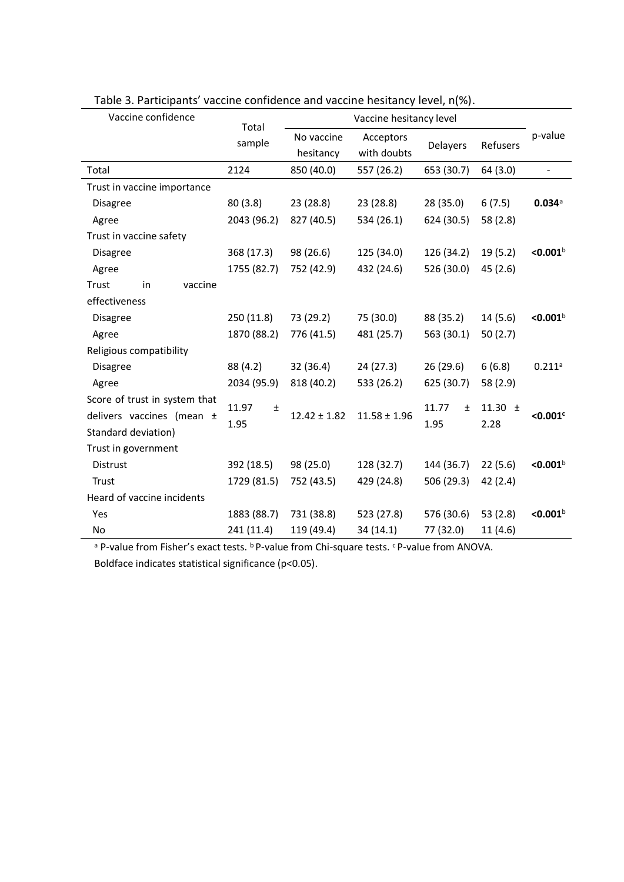| Vaccine confidence            | Total          |                  | Vaccine hesitancy level |                |             |                      |
|-------------------------------|----------------|------------------|-------------------------|----------------|-------------|----------------------|
|                               | sample         | No vaccine       | Acceptors               |                | Refusers    | p-value              |
|                               |                | hesitancy        | with doubts             | Delayers       |             |                      |
| Total                         | 2124           | 850 (40.0)       | 557 (26.2)              | 653 (30.7)     | 64(3.0)     | $\frac{1}{2}$        |
| Trust in vaccine importance   |                |                  |                         |                |             |                      |
| <b>Disagree</b>               | 80(3.8)        | 23 (28.8)        | 23 (28.8)               | 28 (35.0)      | 6(7.5)      | 0.034a               |
| Agree                         | 2043 (96.2)    | 827 (40.5)       | 534 (26.1)              | 624 (30.5)     | 58 (2.8)    |                      |
| Trust in vaccine safety       |                |                  |                         |                |             |                      |
| <b>Disagree</b>               | 368 (17.3)     | 98 (26.6)        | 125 (34.0)              | 126 (34.2)     | 19(5.2)     | < 0.001 <sup>b</sup> |
| Agree                         | 1755 (82.7)    | 752 (42.9)       | 432 (24.6)              | 526 (30.0)     | 45(2.6)     |                      |
| Trust<br>in<br>vaccine        |                |                  |                         |                |             |                      |
| effectiveness                 |                |                  |                         |                |             |                      |
| <b>Disagree</b>               | 250(11.8)      | 73 (29.2)        | 75 (30.0)               | 88 (35.2)      | 14(5.6)     | < 0.001 <sup>b</sup> |
| Agree                         | 1870 (88.2)    | 776 (41.5)       | 481 (25.7)              | 563 (30.1)     | 50 $(2.7)$  |                      |
| Religious compatibility       |                |                  |                         |                |             |                      |
| <b>Disagree</b>               | 88 (4.2)       | 32 (36.4)        | 24(27.3)                | 26(29.6)       | 6(6.8)      | 0.211a               |
| Agree                         | 2034 (95.9)    | 818 (40.2)       | 533 (26.2)              | 625 (30.7)     | 58 (2.9)    |                      |
| Score of trust in system that | 11.97<br>$\pm$ |                  |                         | 11.77<br>$\pm$ | 11.30 $\pm$ |                      |
| delivers vaccines (mean ±     | 1.95           | $12.42 \pm 1.82$ | $11.58 \pm 1.96$        | 1.95           | 2.28        | $< 0.001$ c          |
| Standard deviation)           |                |                  |                         |                |             |                      |
| Trust in government           |                |                  |                         |                |             |                      |
| Distrust                      | 392 (18.5)     | 98 (25.0)        | 128 (32.7)              | 144 (36.7)     | 22(5.6)     | < 0.001 <sup>b</sup> |
| Trust                         | 1729 (81.5)    | 752 (43.5)       | 429 (24.8)              | 506 (29.3)     | 42(2.4)     |                      |
| Heard of vaccine incidents    |                |                  |                         |                |             |                      |
| Yes                           | 1883 (88.7)    | 731 (38.8)       | 523 (27.8)              | 576 (30.6)     | 53 $(2.8)$  | < 0.001 <sup>b</sup> |
| No                            | 241 (11.4)     | 119 (49.4)       | 34 (14.1)               | 77 (32.0)      | 11(4.6)     |                      |

Table 3. Participants' vaccine confidence and vaccine hesitancy level, n(%).

<sup>a</sup> P-value from Fisher's exact tests. <sup>b</sup> P-value from Chi-square tests. <sup>c</sup> P-value from ANOVA. Boldface indicates statistical significance (p<0.05).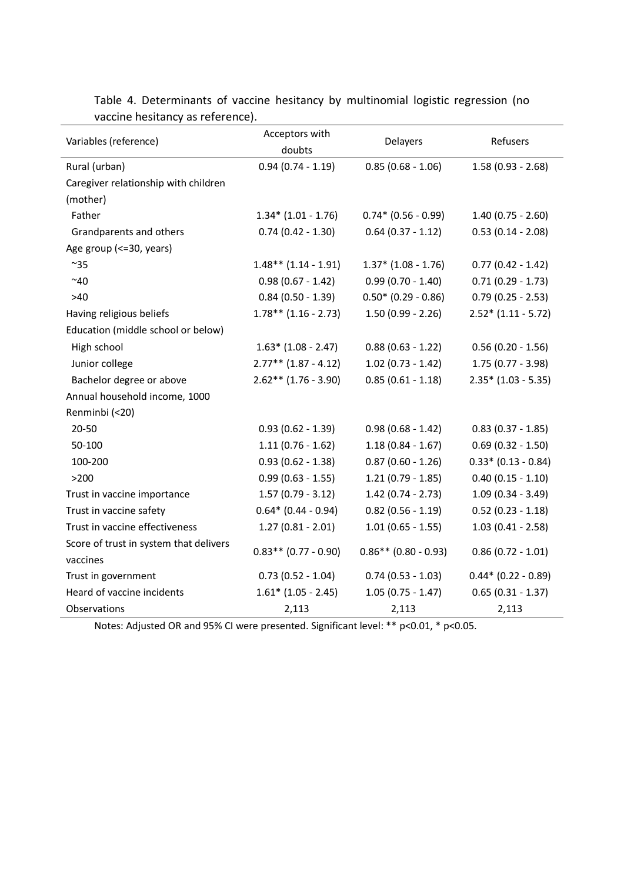| Variables (reference)                  | Acceptors with<br>doubts | <b>Delayers</b>        | Refusers              |
|----------------------------------------|--------------------------|------------------------|-----------------------|
| Rural (urban)                          | $0.94(0.74 - 1.19)$      | $0.85(0.68 - 1.06)$    | $1.58(0.93 - 2.68)$   |
| Caregiver relationship with children   |                          |                        |                       |
| (mother)                               |                          |                        |                       |
| Father                                 | $1.34*(1.01 - 1.76)$     | $0.74*(0.56 - 0.99)$   | $1.40(0.75 - 2.60)$   |
| Grandparents and others                | $0.74(0.42 - 1.30)$      | $0.64$ (0.37 - 1.12)   | $0.53(0.14 - 2.08)$   |
| Age group (<=30, years)                |                          |                        |                       |
| $~^{\sim}35$                           | $1.48**$ (1.14 - 1.91)   | $1.37*$ (1.08 - 1.76)  | $0.77(0.42 - 1.42)$   |
| ~10                                    | $0.98(0.67 - 1.42)$      | $0.99(0.70 - 1.40)$    | $0.71(0.29 - 1.73)$   |
| >40                                    | $0.84(0.50 - 1.39)$      | $0.50* (0.29 - 0.86)$  | $0.79(0.25 - 2.53)$   |
| Having religious beliefs               | $1.78**$ (1.16 - 2.73)   | $1.50(0.99 - 2.26)$    | $2.52*(1.11 - 5.72)$  |
| Education (middle school or below)     |                          |                        |                       |
| High school                            | $1.63*$ (1.08 - 2.47)    | $0.88(0.63 - 1.22)$    | $0.56(0.20 - 1.56)$   |
| Junior college                         | $2.77**$ (1.87 - 4.12)   | $1.02$ (0.73 - 1.42)   | 1.75 (0.77 - 3.98)    |
| Bachelor degree or above               | $2.62**$ (1.76 - 3.90)   | $0.85(0.61 - 1.18)$    | $2.35* (1.03 - 5.35)$ |
| Annual household income, 1000          |                          |                        |                       |
| Renminbi (<20)                         |                          |                        |                       |
| $20 - 50$                              | $0.93(0.62 - 1.39)$      | $0.98(0.68 - 1.42)$    | $0.83(0.37 - 1.85)$   |
| 50-100                                 | $1.11(0.76 - 1.62)$      | $1.18(0.84 - 1.67)$    | $0.69$ (0.32 - 1.50)  |
| 100-200                                | $0.93(0.62 - 1.38)$      | $0.87(0.60 - 1.26)$    | $0.33* (0.13 - 0.84)$ |
| >200                                   | $0.99(0.63 - 1.55)$      | $1.21(0.79 - 1.85)$    | $0.40(0.15 - 1.10)$   |
| Trust in vaccine importance            | $1.57(0.79 - 3.12)$      | $1.42(0.74 - 2.73)$    | $1.09(0.34 - 3.49)$   |
| Trust in vaccine safety                | $0.64*$ (0.44 - 0.94)    | $0.82$ (0.56 - 1.19)   | $0.52$ (0.23 - 1.18)  |
| Trust in vaccine effectiveness         | $1.27(0.81 - 2.01)$      | $1.01(0.65 - 1.55)$    | $1.03(0.41 - 2.58)$   |
| Score of trust in system that delivers | $0.83**$ (0.77 - 0.90)   | $0.86**$ (0.80 - 0.93) | $0.86(0.72 - 1.01)$   |
| vaccines                               |                          |                        |                       |
| Trust in government                    | $0.73(0.52 - 1.04)$      | $0.74(0.53 - 1.03)$    | $0.44*$ (0.22 - 0.89) |
| Heard of vaccine incidents             | $1.61*$ (1.05 - 2.45)    | $1.05(0.75 - 1.47)$    | $0.65(0.31 - 1.37)$   |
| Observations                           | 2,113                    | 2,113                  | 2,113                 |

Table 4. Determinants of vaccine hesitancy by multinomial logistic regression (no vaccine hesitancy as reference).

Notes: Adjusted OR and 95% CI were presented. Significant level: \*\* p<0.01, \* p<0.05.